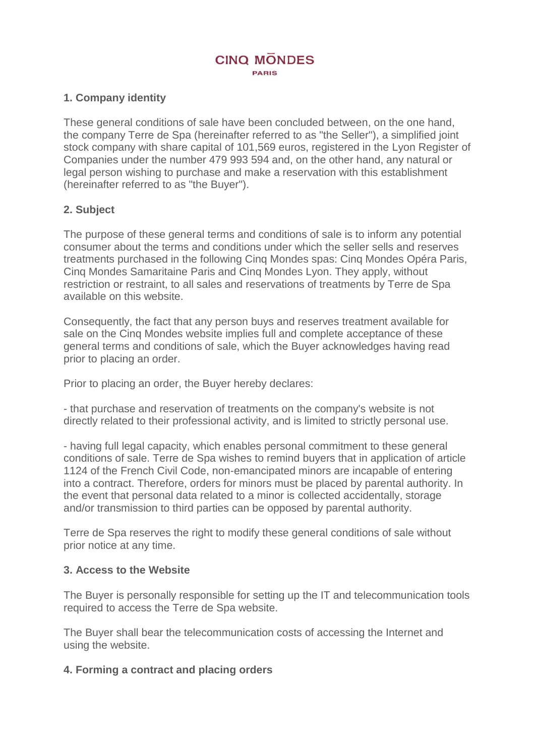# **CINO MONDES** PARIS

### **1. Company identity**

These general conditions of sale have been concluded between, on the one hand, the company Terre de Spa (hereinafter referred to as "the Seller"), a simplified joint stock company with share capital of 101,569 euros, registered in the Lyon Register of Companies under the number 479 993 594 and, on the other hand, any natural or legal person wishing to purchase and make a reservation with this establishment (hereinafter referred to as "the Buyer").

### **2. Subject**

The purpose of these general terms and conditions of sale is to inform any potential consumer about the terms and conditions under which the seller sells and reserves treatments purchased in the following Cinq Mondes spas: Cinq Mondes Opéra Paris, Cinq Mondes Samaritaine Paris and Cinq Mondes Lyon. They apply, without restriction or restraint, to all sales and reservations of treatments by Terre de Spa available on this website.

Consequently, the fact that any person buys and reserves treatment available for sale on the Cinq Mondes website implies full and complete acceptance of these general terms and conditions of sale, which the Buyer acknowledges having read prior to placing an order.

Prior to placing an order, the Buyer hereby declares:

- that purchase and reservation of treatments on the company's website is not directly related to their professional activity, and is limited to strictly personal use.

- having full legal capacity, which enables personal commitment to these general conditions of sale. Terre de Spa wishes to remind buyers that in application of article 1124 of the French Civil Code, non-emancipated minors are incapable of entering into a contract. Therefore, orders for minors must be placed by parental authority. In the event that personal data related to a minor is collected accidentally, storage and/or transmission to third parties can be opposed by parental authority.

Terre de Spa reserves the right to modify these general conditions of sale without prior notice at any time.

#### **3. Access to the Website**

The Buyer is personally responsible for setting up the IT and telecommunication tools required to access the Terre de Spa website.

The Buyer shall bear the telecommunication costs of accessing the Internet and using the website.

### **4. Forming a contract and placing orders**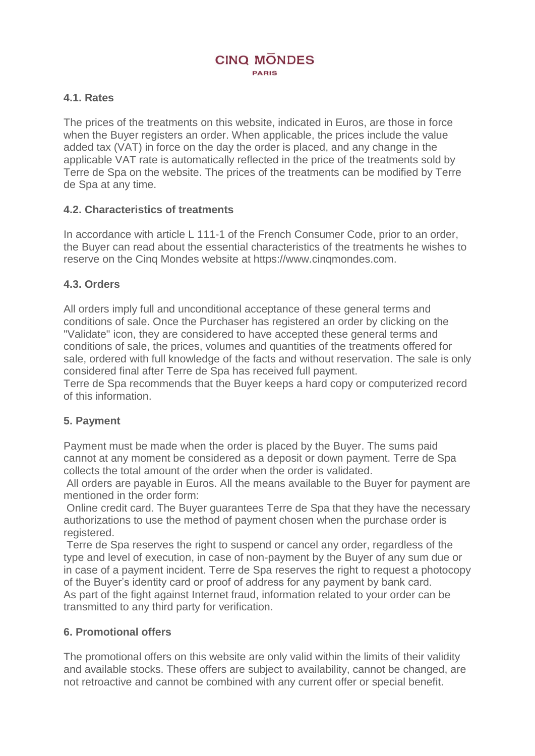# **CINO MONDES** PARIS

### **4.1. Rates**

The prices of the treatments on this website, indicated in Euros, are those in force when the Buyer registers an order. When applicable, the prices include the value added tax (VAT) in force on the day the order is placed, and any change in the applicable VAT rate is automatically reflected in the price of the treatments sold by Terre de Spa on the website. The prices of the treatments can be modified by Terre de Spa at any time.

#### **4.2. Characteristics of treatments**

In accordance with article L 111-1 of the French Consumer Code, prior to an order, the Buyer can read about the essential characteristics of the treatments he wishes to reserve on the Cinq Mondes website at https://www.cinqmondes.com.

### **4.3. Orders**

All orders imply full and unconditional acceptance of these general terms and conditions of sale. Once the Purchaser has registered an order by clicking on the "Validate" icon, they are considered to have accepted these general terms and conditions of sale, the prices, volumes and quantities of the treatments offered for sale, ordered with full knowledge of the facts and without reservation. The sale is only considered final after Terre de Spa has received full payment.

Terre de Spa recommends that the Buyer keeps a hard copy or computerized record of this information.

#### **5. Payment**

Payment must be made when the order is placed by the Buyer. The sums paid cannot at any moment be considered as a deposit or down payment. Terre de Spa collects the total amount of the order when the order is validated.

All orders are payable in Euros. All the means available to the Buyer for payment are mentioned in the order form:

Online credit card. The Buyer guarantees Terre de Spa that they have the necessary authorizations to use the method of payment chosen when the purchase order is registered.

Terre de Spa reserves the right to suspend or cancel any order, regardless of the type and level of execution, in case of non-payment by the Buyer of any sum due or in case of a payment incident. Terre de Spa reserves the right to request a photocopy of the Buyer's identity card or proof of address for any payment by bank card. As part of the fight against Internet fraud, information related to your order can be transmitted to any third party for verification.

#### **6. Promotional offers**

The promotional offers on this website are only valid within the limits of their validity and available stocks. These offers are subject to availability, cannot be changed, are not retroactive and cannot be combined with any current offer or special benefit.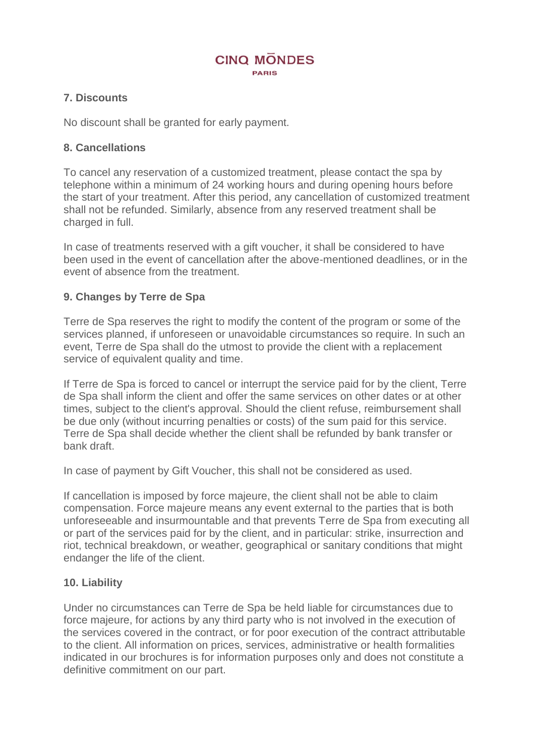## **CINO MONDES** PARIS

### **7. Discounts**

No discount shall be granted for early payment.

# **8. Cancellations**

To cancel any reservation of a customized treatment, please contact the spa by telephone within a minimum of 24 working hours and during opening hours before the start of your treatment. After this period, any cancellation of customized treatment shall not be refunded. Similarly, absence from any reserved treatment shall be charged in full.

In case of treatments reserved with a gift voucher, it shall be considered to have been used in the event of cancellation after the above-mentioned deadlines, or in the event of absence from the treatment.

### **9. Changes by Terre de Spa**

Terre de Spa reserves the right to modify the content of the program or some of the services planned, if unforeseen or unavoidable circumstances so require. In such an event, Terre de Spa shall do the utmost to provide the client with a replacement service of equivalent quality and time.

If Terre de Spa is forced to cancel or interrupt the service paid for by the client, Terre de Spa shall inform the client and offer the same services on other dates or at other times, subject to the client's approval. Should the client refuse, reimbursement shall be due only (without incurring penalties or costs) of the sum paid for this service. Terre de Spa shall decide whether the client shall be refunded by bank transfer or bank draft.

In case of payment by Gift Voucher, this shall not be considered as used.

If cancellation is imposed by force majeure, the client shall not be able to claim compensation. Force majeure means any event external to the parties that is both unforeseeable and insurmountable and that prevents Terre de Spa from executing all or part of the services paid for by the client, and in particular: strike, insurrection and riot, technical breakdown, or weather, geographical or sanitary conditions that might endanger the life of the client.

#### **10. Liability**

Under no circumstances can Terre de Spa be held liable for circumstances due to force majeure, for actions by any third party who is not involved in the execution of the services covered in the contract, or for poor execution of the contract attributable to the client. All information on prices, services, administrative or health formalities indicated in our brochures is for information purposes only and does not constitute a definitive commitment on our part.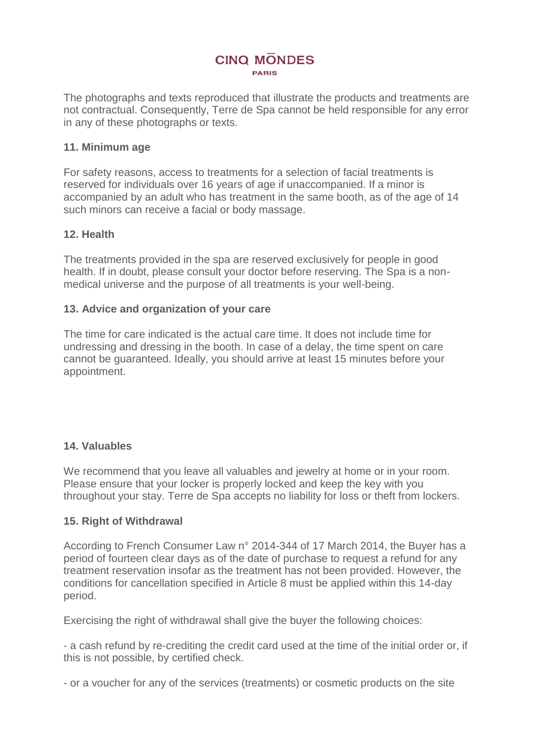# **CINO MONDES DADIO**

The photographs and texts reproduced that illustrate the products and treatments are not contractual. Consequently, Terre de Spa cannot be held responsible for any error in any of these photographs or texts.

#### **11. Minimum age**

For safety reasons, access to treatments for a selection of facial treatments is reserved for individuals over 16 years of age if unaccompanied. If a minor is accompanied by an adult who has treatment in the same booth, as of the age of 14 such minors can receive a facial or body massage.

#### **12. Health**

The treatments provided in the spa are reserved exclusively for people in good health. If in doubt, please consult your doctor before reserving. The Spa is a nonmedical universe and the purpose of all treatments is your well-being.

#### **13. Advice and organization of your care**

The time for care indicated is the actual care time. It does not include time for undressing and dressing in the booth. In case of a delay, the time spent on care cannot be guaranteed. Ideally, you should arrive at least 15 minutes before your appointment.

#### **14. Valuables**

We recommend that you leave all valuables and jewelry at home or in your room. Please ensure that your locker is properly locked and keep the key with you throughout your stay. Terre de Spa accepts no liability for loss or theft from lockers.

#### **15. Right of Withdrawal**

According to French Consumer Law n° 2014-344 of 17 March 2014, the Buyer has a period of fourteen clear days as of the date of purchase to request a refund for any treatment reservation insofar as the treatment has not been provided. However, the conditions for cancellation specified in Article 8 must be applied within this 14-day period.

Exercising the right of withdrawal shall give the buyer the following choices:

- a cash refund by re-crediting the credit card used at the time of the initial order or, if this is not possible, by certified check.

- or a voucher for any of the services (treatments) or cosmetic products on the site